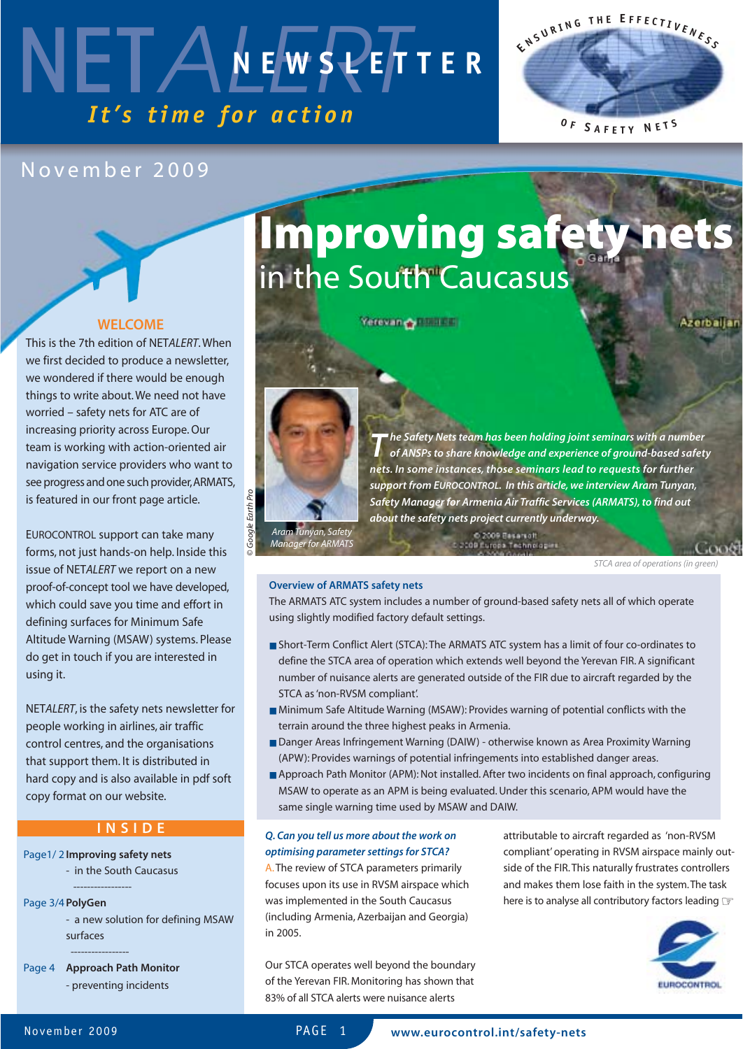### NETALEWSPEF *It's time for action* **NEWSLETTER**

### November 2009

#### **WELCOME**

This is the 7th edition of NET*ALERT*. When we first decided to produce a newsletter, we wondered if there would be enough things to write about. We need not have worried – safety nets for ATC are of increasing priority across Europe. Our team is working with action-oriented air navigation service providers who want to see progress and one such provider, ARMATS, is featured in our front page article.

EUROCONTROL support can take many forms, not just hands-on help. Inside this issue of NET*ALERT* we report on a new proof-of-concept tool we have developed, which could save you time and effort in defining surfaces for Minimum Safe Altitude Warning (MSAW) systems. Please do get in touch if you are interested in using it.

NET*ALERT*, is the safety nets newsletter for people working in airlines, air traffic control centres, and the organisations that support them. It is distributed in hard copy and is also available in pdf soft copy format on our website.

#### **INSIDE**

Page1/ 2**Improving safety nets** - in the South Caucasus

-----------------

Page 3/4**PolyGen**

- a new solution for defining MSAW surfaces

-----------------

Page 4 **Approach Path Monitor** - preventing incidents

## **Improving safety nets**  in the South Caucasus

**Yerovan & Business** 

Azerbaljan

**E <sup>N</sup> <sup>S</sup> <sup>U</sup> <sup>R</sup> <sup>I</sup> <sup>N</sup> <sup>G</sup> <sup>T</sup> <sup>H</sup> <sup>E</sup> <sup>E</sup> <sup>F</sup> <sup>F</sup> <sup>E</sup> <sup>C</sup> <sup>T</sup> <sup>I</sup> <sup>V</sup> <sup>E</sup> <sup>N</sup> <sup>E</sup> <sup>S</sup> <sup>S</sup>**

**<sup>O</sup> <sup>F</sup> <sup>S</sup> <sup>A</sup> <sup>F</sup> <sup>E</sup> <sup>T</sup> <sup>Y</sup> <sup>N</sup> <sup>E</sup> <sup>T</sup> <sup>S</sup>**



*T he Safety Nets team has been holding joint seminars with a number of ANSPs to share knowledge and experience of ground-based safety nets. In some instances, those seminars lead to requests for further support from EUROCONTROL. In this article, we interview Aram Tunyan, Safety Manager for Armenia Air Traffic Services (ARMATS), to find out about the safety nets project currently underway.*

*Manager for ARMATS*

*STCA area of operations (in green)*

#### **Overview of ARMATS safety nets**

The ARMATS ATC system includes a number of ground-based safety nets all of which operate using slightly modified factory default settings.

C 2009 Basarsott

- Short-Term Conflict Alert (STCA): The ARMATS ATC system has a limit of four co-ordinates to define the STCA area of operation which extends well beyond the Yerevan FIR. A significant number of nuisance alerts are generated outside of the FIR due to aircraft regarded by the STCA as 'non-RVSM compliant'.
- Minimum Safe Altitude Warning (MSAW): Provides warning of potential conflicts with the terrain around the three highest peaks in Armenia.
- Danger Areas Infringement Warning (DAIW) otherwise known as Area Proximity Warning (APW): Provides warnings of potential infringements into established danger areas.
- Approach Path Monitor (APM): Not installed. After two incidents on final approach, configuring MSAW to operate as an APM is being evaluated. Under this scenario, APM would have the same single warning time used by MSAW and DAIW.

#### *Q. Can you tell us more about the work on optimising parameter settings for STCA?*

A.The review of STCA parameters primarily focuses upon its use in RVSM airspace which was implemented in the South Caucasus (including Armenia, Azerbaijan and Georgia) in 2005.

Our STCA operates well beyond the boundary of the Yerevan FIR. Monitoring has shown that 83% of all STCA alerts were nuisance alerts

attributable to aircraft regarded as 'non-RVSM compliant' operating in RVSM airspace mainly outside of the FIR. This naturally frustrates controllers and makes them lose faith in the system.The task here is to analyse all contributory factors leading  $\textcolor{red}{\mathcal{G}}$ 

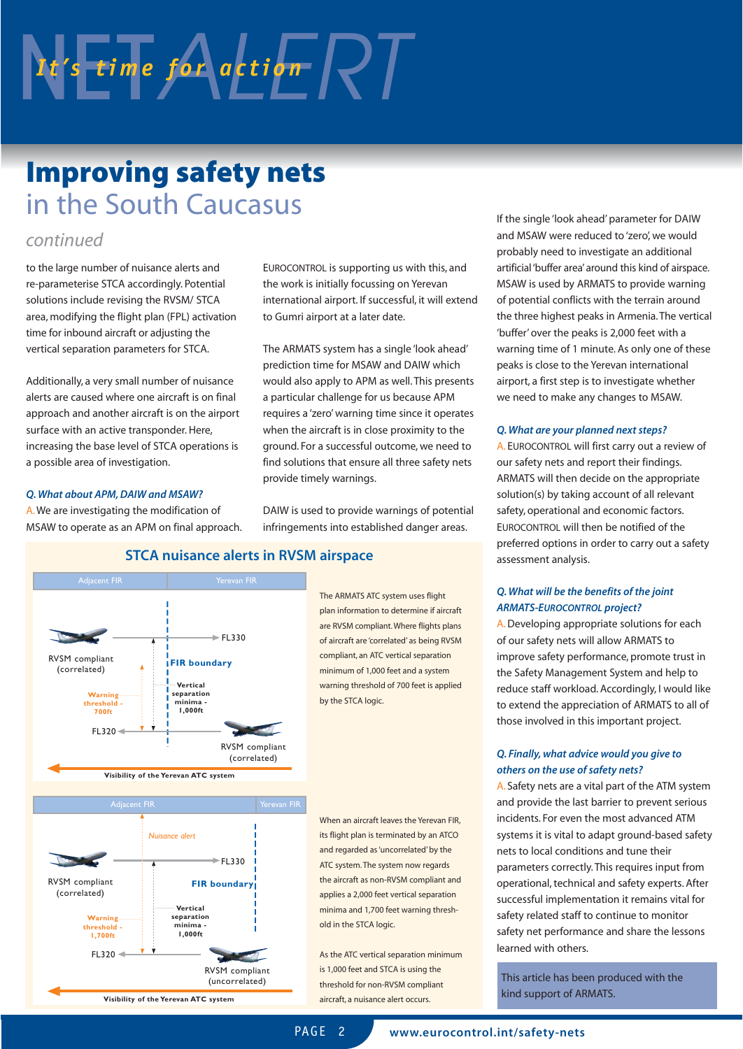# $N$   $t$ 's time for action  $\sqrt{2}$

### **Improving safety nets**  in the South Caucasus

#### *continued*

to the large number of nuisance alerts and re-parameterise STCA accordingly. Potential solutions include revising the RVSM/ STCA area, modifying the flight plan (FPL) activation time for inbound aircraft or adjusting the vertical separation parameters for STCA.

Additionally, a very small number of nuisance alerts are caused where one aircraft is on final approach and another aircraft is on the airport surface with an active transponder. Here, increasing the base level of STCA operations is a possible area of investigation.

#### *Q. What about APM, DAIW and MSAW?*

A.We are investigating the modification of MSAW to operate as an APM on final approach.



EUROCONTROL is supporting us with this, and the work is initially focussing on Yerevan international airport. If successful, it will extend to Gumri airport at a later date.

The ARMATS system has a single 'look ahead' prediction time for MSAW and DAIW which would also apply to APM as well. This presents a particular challenge for us because APM requires a 'zero' warning time since it operates when the aircraft is in close proximity to the ground. For a successful outcome, we need to find solutions that ensure all three safety nets provide timely warnings.

DAIW is used to provide warnings of potential infringements into established danger areas.

If the single 'look ahead' parameter for DAIW and MSAW were reduced to 'zero', we would probably need to investigate an additional artificial 'buffer area' around this kind of airspace. MSAW is used by ARMATS to provide warning of potential conflicts with the terrain around the three highest peaks in Armenia. The vertical 'buffer' over the peaks is 2,000 feet with a warning time of 1 minute. As only one of these peaks is close to the Yerevan international airport, a first step is to investigate whether we need to make any changes to MSAW.

#### *Q. What are your planned next steps?*

A. EUROCONTROL will first carry out a review of our safety nets and report their findings. ARMATS will then decide on the appropriate solution(s) by taking account of all relevant safety, operational and economic factors. EUROCONTROL will then be notified of the preferred options in order to carry out a safety assessment analysis.

#### *Q. What will be the benefits of the joint ARMATS-EUROCONTROL project?*

A.Developing appropriate solutions for each of our safety nets will allow ARMATS to improve safety performance, promote trust in the Safety Management System and help to reduce staff workload. Accordingly, I would like to extend the appreciation of ARMATS to all of those involved in this important project.

#### *Q. Finally, what advice would you give to others on the use of safety nets?*

A. Safety nets are a vital part of the ATM system and provide the last barrier to prevent serious incidents. For even the most advanced ATM systems it is vital to adapt ground-based safety nets to local conditions and tune their parameters correctly. This requires input from operational, technical and safety experts. After successful implementation it remains vital for safety related staff to continue to monitor safety net performance and share the lessons learned with others.

This article has been produced with the kind support of ARMATS.

#### **STCA nuisance alerts in RVSM airspace**

The ARMATS ATC system uses flight plan information to determine if aircraft are RVSM compliant. Where flights plans of aircraft are 'correlated' as being RVSM compliant, an ATC vertical separation minimum of 1,000 feet and a system warning threshold of 700 feet is applied by the STCA logic.

When an aircraft leaves the Yerevan FIR, its flight plan is terminated by an ATCO and regarded as 'uncorrelated' by the ATC system. The system now regards the aircraft as non-RVSM compliant and applies a 2,000 feet vertical separation minima and 1,700 feet warning threshold in the STCA logic.

As the ATC vertical separation minimum is 1,000 feet and STCA is using the threshold for non-RVSM compliant aircraft, a nuisance alert occurs.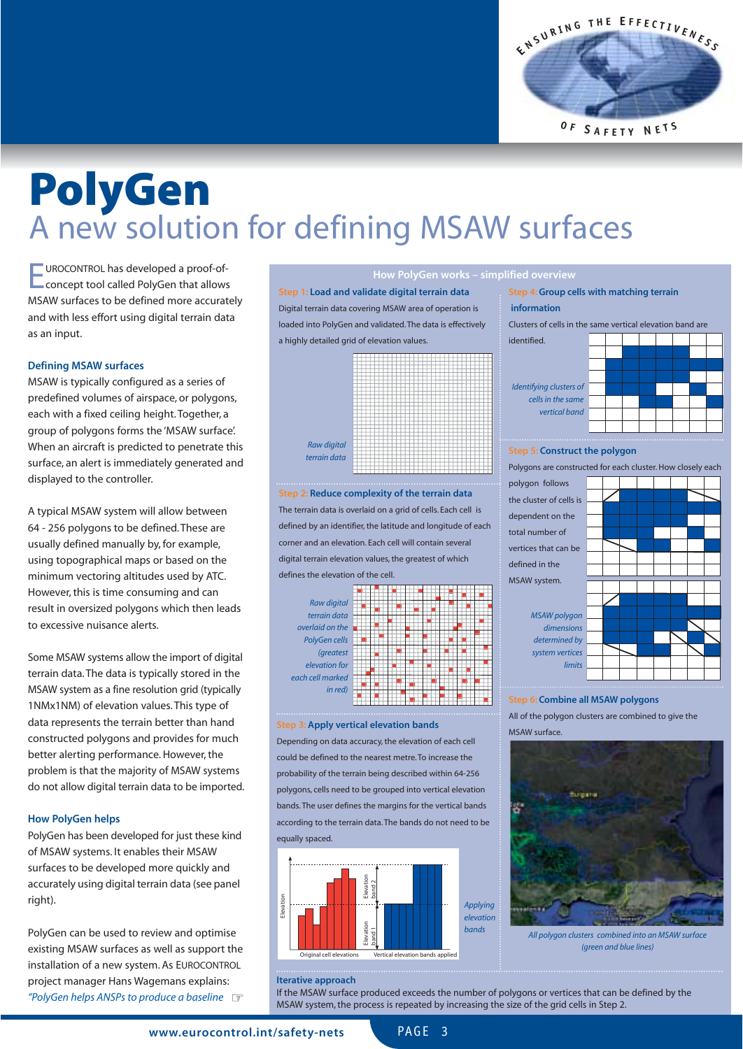

### **PolyGen**  A new solution for defining MSAW surfaces

EUROCONTROL has developed a proof-of-concept tool called PolyGen that allows MSAW surfaces to be defined more accurately and with less effort using digital terrain data as an input.

#### **Defining MSAW surfaces**

MSAW is typically configured as a series of predefined volumes of airspace, or polygons, each with a fixed ceiling height. Together, a group of polygons forms the 'MSAW surface'. When an aircraft is predicted to penetrate this surface, an alert is immediately generated and displayed to the controller.

A typical MSAW system will allow between 64 - 256 polygons to be defined. These are usually defined manually by, for example, using topographical maps or based on the minimum vectoring altitudes used by ATC. However, this is time consuming and can result in oversized polygons which then leads to excessive nuisance alerts.

Some MSAW systems allow the import of digital terrain data. The data is typically stored in the MSAW system as a fine resolution grid (typically 1NMx1NM) of elevation values. This type of data represents the terrain better than hand constructed polygons and provides for much better alerting performance. However, the problem is that the majority of MSAW systems do not allow digital terrain data to be imported.

#### **How PolyGen helps**

PolyGen has been developed for just these kind of MSAW systems. It enables their MSAW surfaces to be developed more quickly and accurately using digital terrain data (see panel right).

PolyGen can be used to review and optimise existing MSAW surfaces as well as support the installation of a new system. As EUROCONTROL project manager Hans Wagemans explains: *"PolyGen helps ANSPs to produce a baseline* ☞

**How PolyGen works – simplified overview Step 1: Load and validate digital terrain data**

Digital terrain data covering MSAW area of operation is loaded into PolyGen and validated. The data is effectively a highly detailed grid of elevation values.

> *Raw digital terrain data*

**Step 2: Reduce complexity of the terrain data** The terrain data is overlaid on a grid of cells. Each cell is defined by an identifier, the latitude and longitude of each corner and an elevation. Each cell will contain several digital terrain elevation values, the greatest of which defines the elevation of the cell.



#### **Step 3: Apply vertical elevation bands**

Depending on data accuracy, the elevation of each cell could be defined to the nearest metre. To increase the probability of the terrain being described within 64-256 polygons, cells need to be grouped into vertical elevation bands. The user defines the margins for the vertical bands according to the terrain data. The bands do not need to be equally spaced.





#### **Step 5: Construct the polygon**

Polygons are constructed for each cluster. How closely each



#### **Step 6: Combine all MSAW polygons**

All of the polygon clusters are combined to give the MSAW surface.



*All polygon clusters combined into an MSAW surface (green and blue lines)*

#### **Iterative approach**

If the MSAW surface produced exceeds the number of polygons or vertices that can be defined by the MSAW system, the process is repeated by increasing the size of the grid cells in Step 2.